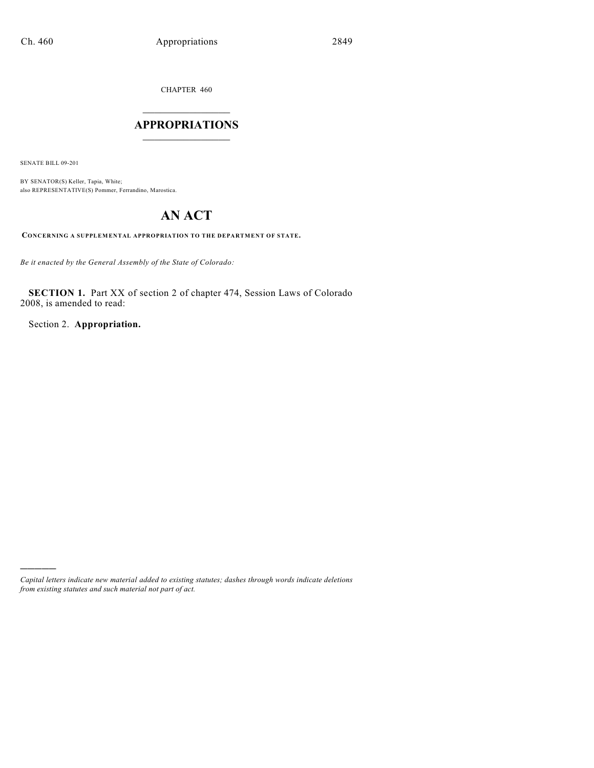CHAPTER 460

## $\mathcal{L}_\text{max}$  . The set of the set of the set of the set of the set of the set of the set of the set of the set of the set of the set of the set of the set of the set of the set of the set of the set of the set of the set **APPROPRIATIONS**  $\_$   $\_$   $\_$   $\_$   $\_$   $\_$   $\_$   $\_$

SENATE BILL 09-201

)))))

BY SENATOR(S) Keller, Tapia, White; also REPRESENTATIVE(S) Pommer, Ferrandino, Marostica.

# **AN ACT**

**CONCERNING A SUPPLEMENTAL APPROPRIATION TO THE DEPARTMENT OF STATE.**

*Be it enacted by the General Assembly of the State of Colorado:*

**SECTION 1.** Part XX of section 2 of chapter 474, Session Laws of Colorado 2008, is amended to read:

Section 2. **Appropriation.**

*Capital letters indicate new material added to existing statutes; dashes through words indicate deletions from existing statutes and such material not part of act.*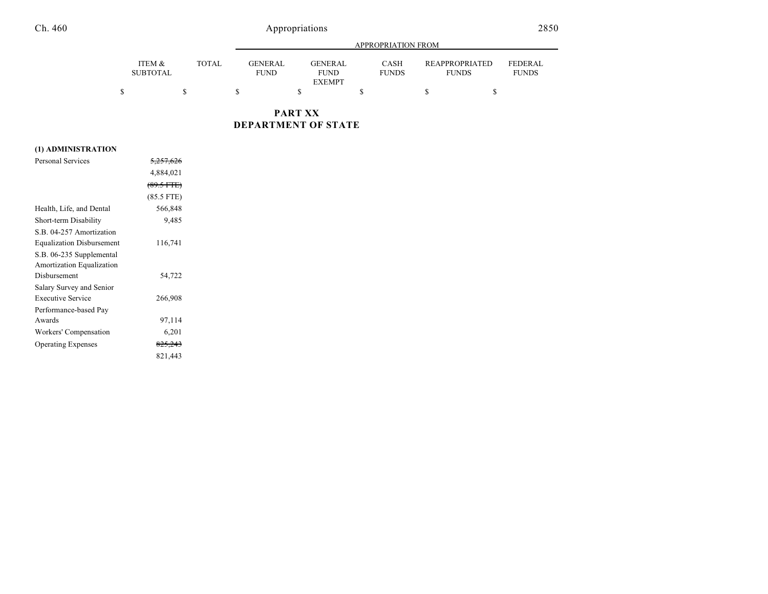## Ch. 460 Appropriations

|                           |              |                        | APPROPRIATION FROM                             |                             |                                       |                                |  |
|---------------------------|--------------|------------------------|------------------------------------------------|-----------------------------|---------------------------------------|--------------------------------|--|
| ITEM &<br><b>SUBTOTAL</b> | <b>TOTAL</b> | GENERAL<br><b>FUND</b> | <b>GENERAL</b><br><b>FUND</b><br><b>EXEMPT</b> | <b>CASH</b><br><b>FUNDS</b> | <b>REAPPROPRIATED</b><br><b>FUNDS</b> | <b>FEDERAL</b><br><b>FUNDS</b> |  |
|                           |              |                        |                                                |                             |                                       |                                |  |

**PART XX DEPARTMENT OF STATE**

### **(1) ADMINISTRATION**

| <b>Personal Services</b>         | <del>5,257,626</del> |  |
|----------------------------------|----------------------|--|
|                                  | 4,884,021            |  |
|                                  | $(89.5 \text{ FTE})$ |  |
|                                  | $(85.5$ FTE)         |  |
| Health, Life, and Dental         | 566,848              |  |
| Short-term Disability            | 9,485                |  |
| S.B. 04-257 Amortization         |                      |  |
| <b>Equalization Disbursement</b> | 116,741              |  |
| S.B. 06-235 Supplemental         |                      |  |
| Amortization Equalization        |                      |  |
| Disbursement                     | 54,722               |  |
| Salary Survey and Senior         |                      |  |
| <b>Executive Service</b>         | 266,908              |  |
| Performance-based Pay            |                      |  |
| Awards                           | 97,114               |  |
| Workers' Compensation            | 6,201                |  |
| <b>Operating Expenses</b>        | <del>825,243</del>   |  |
|                                  | 821,443              |  |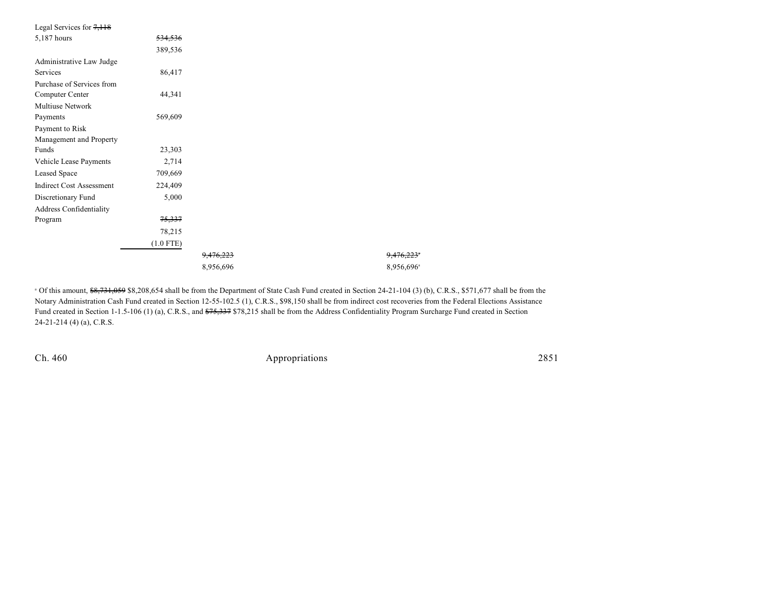| <del>534,536</del><br>389,536<br>86,417<br>44,341<br>569,609<br>23,303<br>2,714<br>709,669<br>224,409<br>5,000<br>75,337<br>78,215<br>$(1.0$ FTE)<br>9.476.223<br>8,956,696 | Legal Services for $7,118$      |  |                        |
|-----------------------------------------------------------------------------------------------------------------------------------------------------------------------------|---------------------------------|--|------------------------|
|                                                                                                                                                                             | 5,187 hours                     |  |                        |
|                                                                                                                                                                             |                                 |  |                        |
|                                                                                                                                                                             | Administrative Law Judge        |  |                        |
|                                                                                                                                                                             | Services                        |  |                        |
|                                                                                                                                                                             | Purchase of Services from       |  |                        |
|                                                                                                                                                                             | Computer Center                 |  |                        |
|                                                                                                                                                                             | Multiuse Network                |  |                        |
|                                                                                                                                                                             | Payments                        |  |                        |
|                                                                                                                                                                             | Payment to Risk                 |  |                        |
|                                                                                                                                                                             | Management and Property         |  |                        |
|                                                                                                                                                                             | Funds                           |  |                        |
|                                                                                                                                                                             | Vehicle Lease Payments          |  |                        |
|                                                                                                                                                                             | Leased Space                    |  |                        |
|                                                                                                                                                                             | <b>Indirect Cost Assessment</b> |  |                        |
|                                                                                                                                                                             | Discretionary Fund              |  |                        |
|                                                                                                                                                                             | Address Confidentiality         |  |                        |
|                                                                                                                                                                             | Program                         |  |                        |
|                                                                                                                                                                             |                                 |  |                        |
|                                                                                                                                                                             |                                 |  |                        |
|                                                                                                                                                                             |                                 |  | 9.476.223              |
|                                                                                                                                                                             |                                 |  | 8,956,696 <sup>a</sup> |

<sup>a</sup> Of this amount, \$8,731,059 \$8,208,654 shall be from the Department of State Cash Fund created in Section 24-21-104 (3) (b), C.R.S., \$571,677 shall be from the Notary Administration Cash Fund created in Section 12-55-102.5 (1), C.R.S., \$98,150 shall be from indirect cost recoveries from the Federal Elections Assistance Fund created in Section 1-1.5-106 (1) (a), C.R.S., and  $$75,337 $78,215$  shall be from the Address Confidentiality Program Surcharge Fund created in Section 24-21-214 (4) (a), C.R.S.

Ch. 460 Appropriations 2851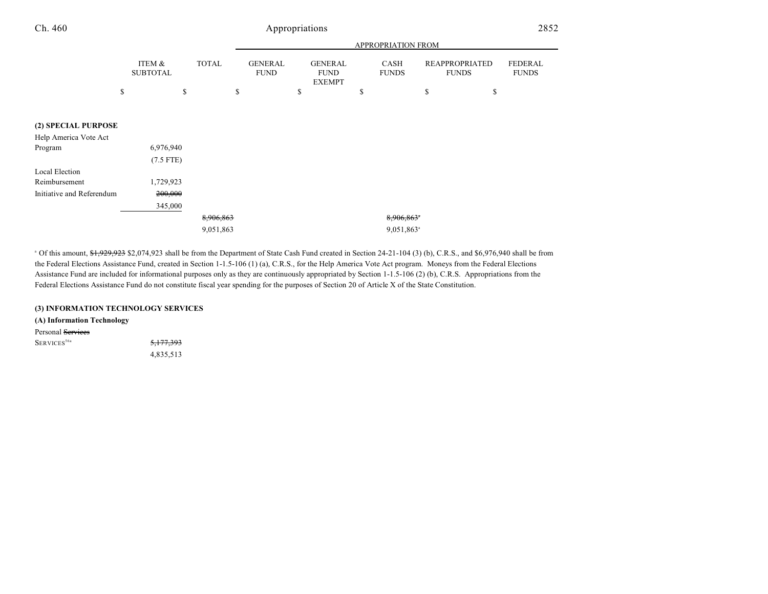## Ch. 460 Appropriations

|                           |                           |              |                               |                                                | APPROPRIATION FROM          |                                       |                                |
|---------------------------|---------------------------|--------------|-------------------------------|------------------------------------------------|-----------------------------|---------------------------------------|--------------------------------|
|                           | ITEM &<br><b>SUBTOTAL</b> | <b>TOTAL</b> | <b>GENERAL</b><br><b>FUND</b> | <b>GENERAL</b><br><b>FUND</b><br><b>EXEMPT</b> | <b>CASH</b><br><b>FUNDS</b> | <b>REAPPROPRIATED</b><br><b>FUNDS</b> | <b>FEDERAL</b><br><b>FUNDS</b> |
|                           | \$                        | \$           | \$                            | \$                                             | \$                          | \$<br>\$                              |                                |
|                           |                           |              |                               |                                                |                             |                                       |                                |
| (2) SPECIAL PURPOSE       |                           |              |                               |                                                |                             |                                       |                                |
| Help America Vote Act     |                           |              |                               |                                                |                             |                                       |                                |
| Program                   | 6,976,940                 |              |                               |                                                |                             |                                       |                                |
|                           | $(7.5$ FTE)               |              |                               |                                                |                             |                                       |                                |
| Local Election            |                           |              |                               |                                                |                             |                                       |                                |
| Reimbursement             | 1,729,923                 |              |                               |                                                |                             |                                       |                                |
| Initiative and Referendum | 200,000                   |              |                               |                                                |                             |                                       |                                |
|                           | 345,000                   |              |                               |                                                |                             |                                       |                                |
|                           |                           | 8,906,863    |                               |                                                | 8,906,863*                  |                                       |                                |
|                           |                           | 9,051,863    |                               |                                                | 9,051,863 <sup>a</sup>      |                                       |                                |

<sup>a</sup> Of this amount, <del>\$1,929,923</del> \$2,074,923 shall be from the Department of State Cash Fund created in Section 24-21-104 (3) (b), C.R.S., and \$6,976,940 shall be from the Federal Elections Assistance Fund, created in Section 1-1.5-106 (1) (a), C.R.S., for the Help America Vote Act program. Moneys from the Federal Elections Assistance Fund are included for informational purposes only as they are continuously appropriated by Section 1-1.5-106 (2) (b), C.R.S. Appropriations from the Federal Elections Assistance Fund do not constitute fiscal year spending for the purposes of Section 20 of Article X of the State Constitution.

#### **(3) INFORMATION TECHNOLOGY SERVICES**

**(A) Information Technology**

Personal Services

 $S_{\text{ERVICES}}^{56a}$  5,177,393

4,835,513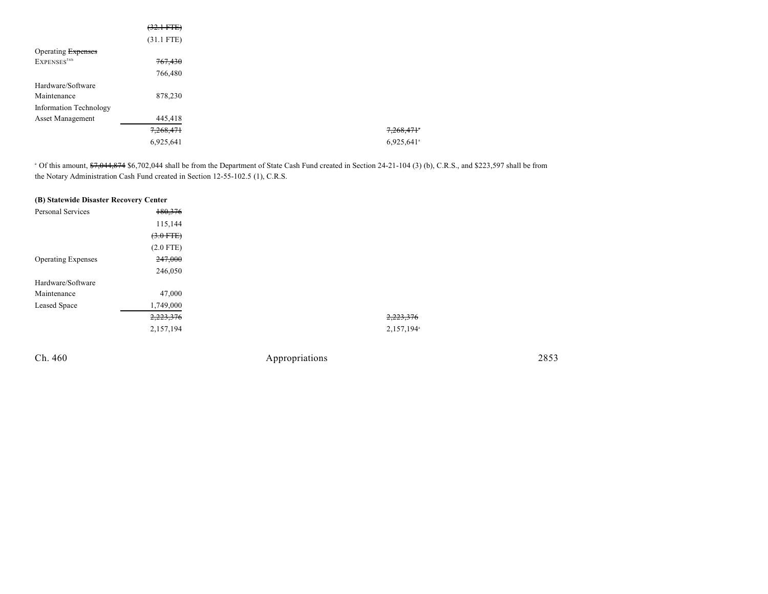|                         | $(32.1 \text{ FTE})$ |
|-------------------------|----------------------|
|                         | $(31.1$ FTE)         |
| Operating Expenses      |                      |
| EXPENSES <sup>56b</sup> | 767,430              |
|                         | 766,480              |
| Hardware/Software       |                      |
| Maintenance             | 878,230              |
| Information Technology  |                      |
| Asset Management        | 445,418              |
|                         | 7,268,471            |
|                         | 6,925,641            |

 $^{\circ}$  Of this amount,  $\frac{47,044,874}{23,597}$  shall be from the Department of State Cash Fund created in Section 24-21-104 (3) (b), C.R.S., and \$223,597 shall be from the Notary Administration Cash Fund created in Section 12-55-102.5 (1), C.R.S.

| (B) Statewide Disaster Recovery Center |             |
|----------------------------------------|-------------|
| Personal Services                      | 180,376     |
|                                        | 115,144     |
|                                        | $(3.0$ FTE) |
|                                        | $(2.0$ FTE) |
| <b>Operating Expenses</b>              | 247,000     |
|                                        | 246,050     |
| Hardware/Software                      |             |
| Maintenance                            | 47,000      |
| Leased Space                           | 1,749,000   |
|                                        | 2,223,376   |
|                                        | 2,157,194   |
|                                        |             |

Ch. 460 Appropriations 2853

2,223,376 2,223,376  $2,157,194$ <sup>a</sup>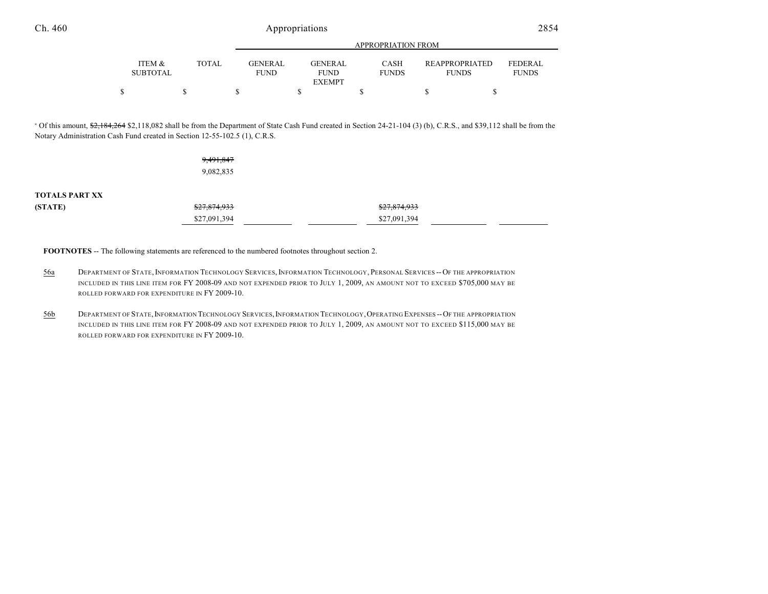|                   |       |                | APPROPRIATION FROM |              |                       |                |  |
|-------------------|-------|----------------|--------------------|--------------|-----------------------|----------------|--|
|                   |       |                |                    |              |                       |                |  |
| <b>ITEM &amp;</b> | TOTAL | <b>GENERAL</b> | <b>GENERAL</b>     | <b>CASH</b>  | <b>REAPPROPRIATED</b> | <b>FEDERAL</b> |  |
| <b>SUBTOTAL</b>   |       | <b>FUND</b>    | <b>FUND</b>        | <b>FUNDS</b> | <b>FUNDS</b>          | <b>FUNDS</b>   |  |
|                   |       |                | <b>EXEMPT</b>      |              |                       |                |  |
|                   |       |                |                    |              |                       |                |  |

<sup>a</sup> Of this amount, \$2,184,264 \$2,118,082 shall be from the Department of State Cash Fund created in Section 24-21-104 (3) (b), C.R.S., and \$39,112 shall be from the Notary Administration Cash Fund created in Section 12-55-102.5 (1), C.R.S.

|                       | 9,491,847    |                         |
|-----------------------|--------------|-------------------------|
|                       | 9,082,835    |                         |
|                       |              |                         |
| <b>TOTALS PART XX</b> |              |                         |
| (STATE)               | \$27,874,933 | <del>\$27,874,933</del> |
|                       | \$27,091,394 | \$27,091,394            |

**FOOTNOTES** -- The following statements are referenced to the numbered footnotes throughout section 2.

- 56a DEPARTMENT OF STATE,INFORMATION TECHNOLOGY SERVICES,INFORMATION TECHNOLOGY, PERSONAL SERVICES -- OF THE APPROPRIATION INCLUDED IN THIS LINE ITEM FOR FY 2008-09 AND NOT EXPENDED PRIOR TO JULY 1, 2009, AN AMOUNT NOT TO EXCEED \$705,000 MAY BE ROLLED FORWARD FOR EXPENDITURE IN FY 2009-10.
- 56b DEPARTMENT OF STATE,INFORMATION TECHNOLOGY SERVICES,INFORMATION TECHNOLOGY,OPERATING EXPENSES --OF THE APPROPRIATION INCLUDED IN THIS LINE ITEM FOR FY 2008-09 AND NOT EXPENDED PRIOR TO JULY 1, 2009, AN AMOUNT NOT TO EXCEED \$115,000 MAY BE ROLLED FORWARD FOR EXPENDITURE IN FY 2009-10.